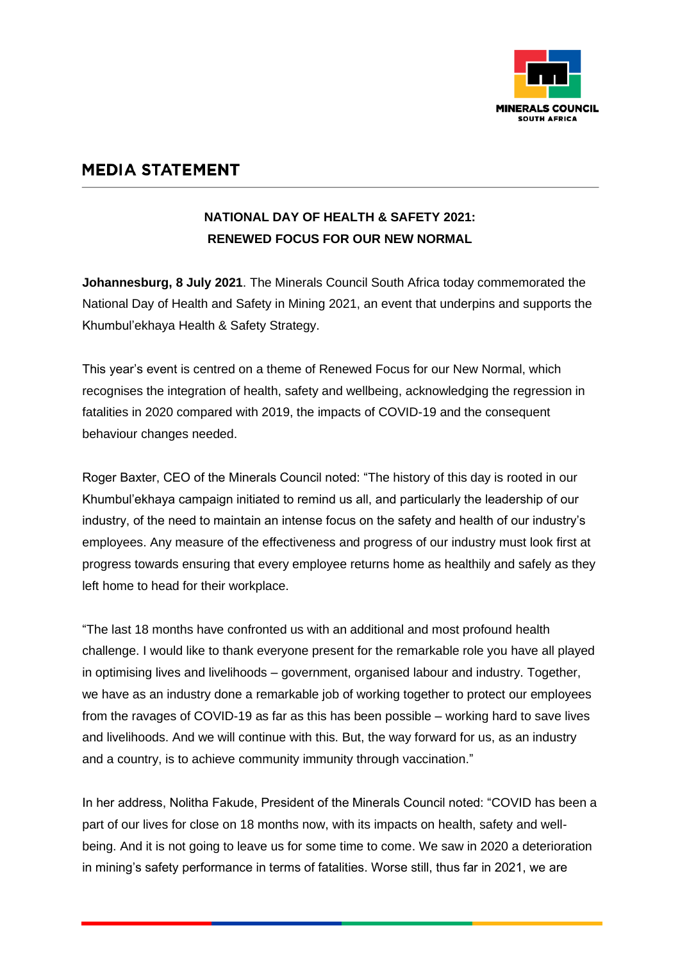

## **MEDIA STATEMENT**

## **NATIONAL DAY OF HEALTH & SAFETY 2021: RENEWED FOCUS FOR OUR NEW NORMAL**

**Johannesburg, 8 July 2021**. The Minerals Council South Africa today commemorated the National Day of Health and Safety in Mining 2021, an event that underpins and supports the Khumbul'ekhaya Health & Safety Strategy.

This year's event is centred on a theme of Renewed Focus for our New Normal, which recognises the integration of health, safety and wellbeing, acknowledging the regression in fatalities in 2020 compared with 2019, the impacts of COVID-19 and the consequent behaviour changes needed.

Roger Baxter, CEO of the Minerals Council noted: "The history of this day is rooted in our Khumbul'ekhaya campaign initiated to remind us all, and particularly the leadership of our industry, of the need to maintain an intense focus on the safety and health of our industry's employees. Any measure of the effectiveness and progress of our industry must look first at progress towards ensuring that every employee returns home as healthily and safely as they left home to head for their workplace.

"The last 18 months have confronted us with an additional and most profound health challenge. I would like to thank everyone present for the remarkable role you have all played in optimising lives and livelihoods – government, organised labour and industry. Together, we have as an industry done a remarkable job of working together to protect our employees from the ravages of COVID-19 as far as this has been possible – working hard to save lives and livelihoods. And we will continue with this. But, the way forward for us, as an industry and a country, is to achieve community immunity through vaccination."

In her address, Nolitha Fakude, President of the Minerals Council noted: "COVID has been a part of our lives for close on 18 months now, with its impacts on health, safety and wellbeing. And it is not going to leave us for some time to come. We saw in 2020 a deterioration in mining's safety performance in terms of fatalities. Worse still, thus far in 2021, we are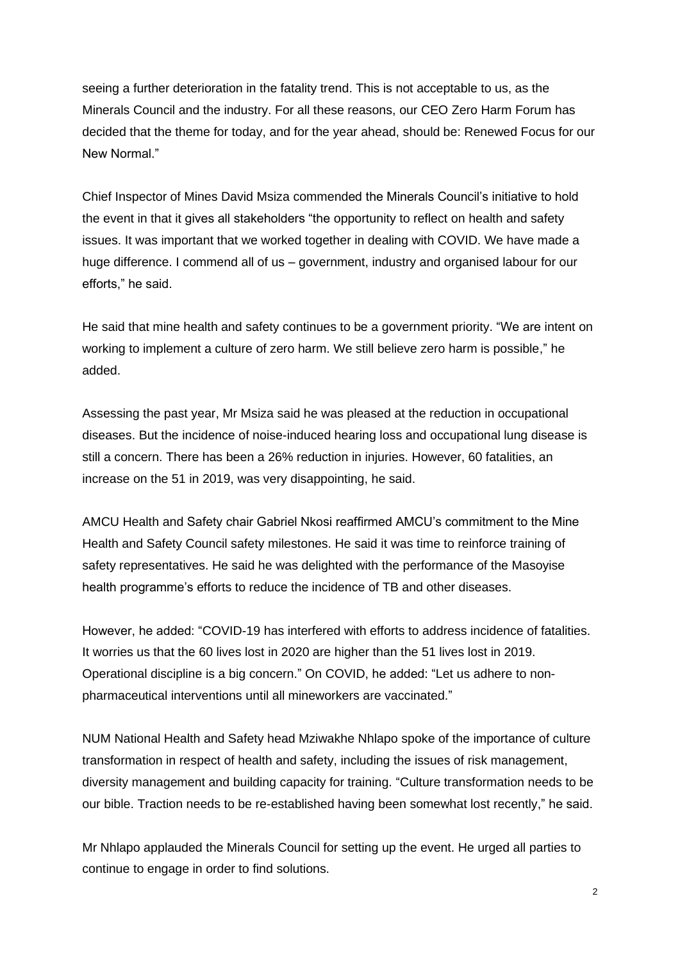seeing a further deterioration in the fatality trend. This is not acceptable to us, as the Minerals Council and the industry. For all these reasons, our CEO Zero Harm Forum has decided that the theme for today, and for the year ahead, should be: Renewed Focus for our New Normal"

Chief Inspector of Mines David Msiza commended the Minerals Council's initiative to hold the event in that it gives all stakeholders "the opportunity to reflect on health and safety issues. It was important that we worked together in dealing with COVID. We have made a huge difference. I commend all of us – government, industry and organised labour for our efforts," he said.

He said that mine health and safety continues to be a government priority. "We are intent on working to implement a culture of zero harm. We still believe zero harm is possible," he added.

Assessing the past year, Mr Msiza said he was pleased at the reduction in occupational diseases. But the incidence of noise-induced hearing loss and occupational lung disease is still a concern. There has been a 26% reduction in injuries. However, 60 fatalities, an increase on the 51 in 2019, was very disappointing, he said.

AMCU Health and Safety chair Gabriel Nkosi reaffirmed AMCU's commitment to the Mine Health and Safety Council safety milestones. He said it was time to reinforce training of safety representatives. He said he was delighted with the performance of the Masoyise health programme's efforts to reduce the incidence of TB and other diseases.

However, he added: "COVID-19 has interfered with efforts to address incidence of fatalities. It worries us that the 60 lives lost in 2020 are higher than the 51 lives lost in 2019. Operational discipline is a big concern." On COVID, he added: "Let us adhere to nonpharmaceutical interventions until all mineworkers are vaccinated."

NUM National Health and Safety head Mziwakhe Nhlapo spoke of the importance of culture transformation in respect of health and safety, including the issues of risk management, diversity management and building capacity for training. "Culture transformation needs to be our bible. Traction needs to be re-established having been somewhat lost recently," he said.

Mr Nhlapo applauded the Minerals Council for setting up the event. He urged all parties to continue to engage in order to find solutions.